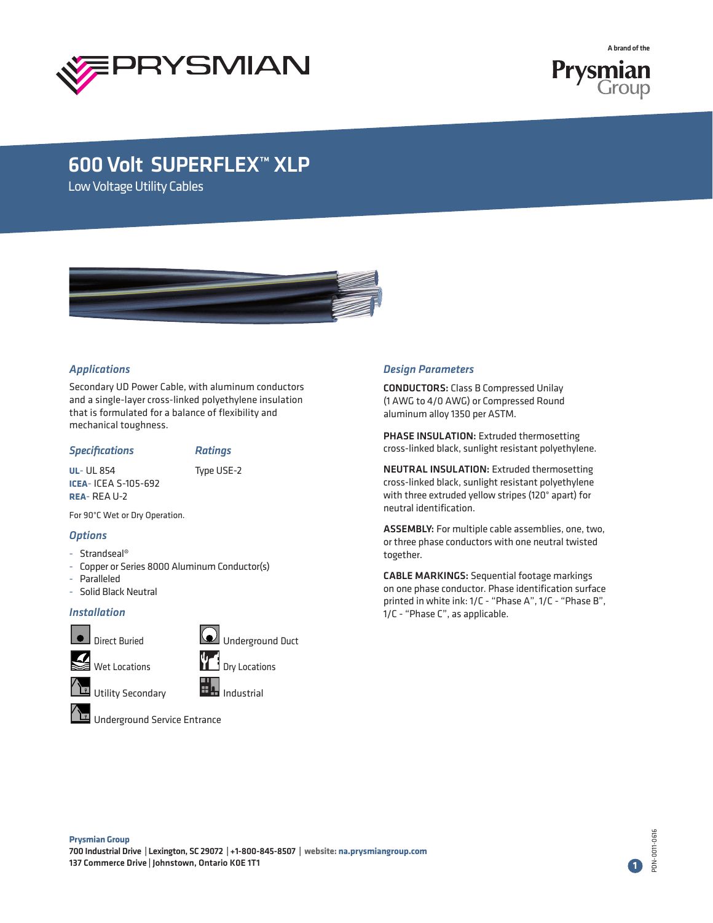

**Prysmian**<br>Group

A brand of the

# 600 Volt SUPERFLEX™ XLP

Low Voltage Utility Cables



### *Applications*

Secondary UD Power Cable, with aluminum conductors and a single-layer cross-linked polyethylene insulation that is formulated for a balance of flexibility and mechanical toughness.

#### *Specifications Ratings*

**UL**- UL 854 Type USE-2 **ICEA**- ICEA S-105-692 **REA**- REA U-2

For 90°C Wet or Dry Operation.

## *Options*

- Strandseal®
- Copper or Series 8000 Aluminum Conductor(s)
- Paralleled
- Solid Black Neutral

### *Installation*





**NE Utility Secondary Industrial** 



Underground Service Entrance

### *Design Parameters*

CONDUCTORS: Class B Compressed Unilay (1 AWG to 4/0 AWG) or Compressed Round aluminum alloy 1350 per ASTM.

PHASE INSULATION: Extruded thermosetting cross-linked black, sunlight resistant polyethylene.

NEUTRAL INSULATION: Extruded thermosetting cross-linked black, sunlight resistant polyethylene with three extruded yellow stripes (120° apart) for neutral identification.

ASSEMBLY: For multiple cable assemblies, one, two, or three phase conductors with one neutral twisted together.

CABLE MARKINGS: Sequential footage markings on one phase conductor. Phase identification surface printed in white ink: 1/C - "Phase A", 1/C - "Phase B", 1/C - "Phase C", as applicable.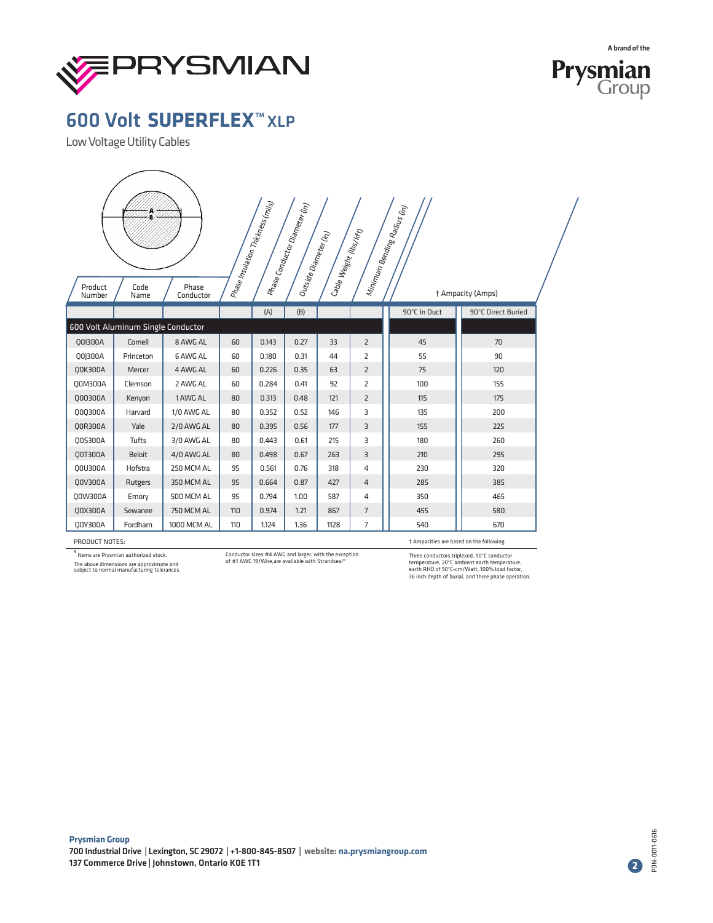



Low Voltage Utility Cables

| Product<br>Number | Code<br>Name                       | Phase<br>Conductor |     | Phase Insulation Thickness (mis) | $\begin{aligned} \mu_{\mathcal{H}_{\text{dSg}}} & c_{\mathcal{O}_{\text{PZZ}_{\text{G}_{\text{G}_{\text{F}}}}} \mu_{\mathcal{H}_{\text{G}_{\text{F}_{\text{G}_{\text{F}}}}} \mu_{\mathcal{H}_{\text{G}_{\text{G}_{\text{F}}}}} \mu_{\mathcal{H}_{\text{G}_{\text{G}_{\text{F}}}}} \mu_{\mathcal{H}_{\text{G}_{\text{G}_{\text{F}}}}} \end{aligned}$<br>Outside Diameter (in) | Cable Weight (lbs <sub>/Kft)</sub> |                | $\mu_{\ell m_{\ell m}}$ Bending Radius (h <sub>1)</sub> | † Ampacity (Amps)  |  |
|-------------------|------------------------------------|--------------------|-----|----------------------------------|------------------------------------------------------------------------------------------------------------------------------------------------------------------------------------------------------------------------------------------------------------------------------------------------------------------------------------------------------------------------------|------------------------------------|----------------|---------------------------------------------------------|--------------------|--|
|                   |                                    |                    |     | (A)                              | (B)                                                                                                                                                                                                                                                                                                                                                                          |                                    |                | 90°C In Duct                                            | 90°C Direct Buried |  |
|                   | 600 Volt Aluminum Single Conductor |                    |     |                                  |                                                                                                                                                                                                                                                                                                                                                                              |                                    |                |                                                         |                    |  |
| Q0I300A           | Cornell                            | 8 AWG AL           | 60  | 0.143                            | 0.27                                                                                                                                                                                                                                                                                                                                                                         | 33                                 | $\overline{2}$ | 45                                                      | 70                 |  |
| Q0J300A           | Princeton                          | 6 AWG AL           | 60  | 0.180                            | 0.31                                                                                                                                                                                                                                                                                                                                                                         | 44                                 | $\overline{2}$ | 55                                                      | 90                 |  |
| <b>Q0K300A</b>    | Mercer                             | 4 AWG AL           | 60  | 0.226                            | 0.35                                                                                                                                                                                                                                                                                                                                                                         | 63                                 | $\overline{2}$ | 75                                                      | 120                |  |
| Q0M300A           | Clemson                            | 2 AWG AL           | 60  | 0.284                            | 0.41                                                                                                                                                                                                                                                                                                                                                                         | 92                                 | $\overline{2}$ | 100                                                     | 155                |  |
| Q00300A           | Kenyon                             | 1 AWG AL           | 80  | 0.313                            | 0.48                                                                                                                                                                                                                                                                                                                                                                         | 121                                | $\overline{2}$ | 115                                                     | 175                |  |
| Q0Q300A           | Harvard                            | 1/0 AWG AL         | 80  | 0.352                            | 0.52                                                                                                                                                                                                                                                                                                                                                                         | 146                                | 3              | 135                                                     | 200                |  |
| 00R300A           | Yale                               | 2/0 AWG AL         | 80  | 0.395                            | 0.56                                                                                                                                                                                                                                                                                                                                                                         | 177                                | $\overline{3}$ | 155                                                     | 225                |  |
| Q0S300A           | <b>Tufts</b>                       | 3/0 AWG AL         | 80  | 0.443                            | 0.61                                                                                                                                                                                                                                                                                                                                                                         | 215                                | 3              | 180                                                     | 260                |  |
| Q0T300A           | <b>Beloit</b>                      | 4/0 AWG AL         | 80  | 0.498                            | 0.67                                                                                                                                                                                                                                                                                                                                                                         | 263                                | $\overline{3}$ | 210                                                     | 295                |  |
| Q0U300A           | Hofstra                            | 250 MCM AL         | 95  | 0.561                            | 0.76                                                                                                                                                                                                                                                                                                                                                                         | 318                                | 4              | 230                                                     | 320                |  |
| Q0V300A           | Rutgers                            | 350 MCM AL         | 95  | 0.664                            | 0.87                                                                                                                                                                                                                                                                                                                                                                         | 427                                | $\overline{4}$ | 285                                                     | 385                |  |
| Q0W300A           | Emory                              | <b>500 MCM AL</b>  | 95  | 0.794                            | 1.00                                                                                                                                                                                                                                                                                                                                                                         | 587                                | 4              | 350                                                     | 465                |  |
| Q0X300A           | Sewanee                            | <b>750 MCM AL</b>  | 110 | 0.974                            | 1.21                                                                                                                                                                                                                                                                                                                                                                         | 867                                | $\overline{7}$ | 455                                                     | 580                |  |
| Q0Y300A           | Fordham                            | 1000 MCM AL        | 110 | 1.124                            | 1.36                                                                                                                                                                                                                                                                                                                                                                         | 1128                               | $\overline{7}$ | 540                                                     | 670                |  |

PRODUCT NOTES:

s Items are Prysmian authorized stock. The above dimensions are approximate and subject to normal manufacturing tolerances. Conductor sizes #4 AWG and larger, with the exception of #1 AWG 19/Wire,are available with Strandseal®

† Ampacities are based on the following:

Three conductors triplexed, 90°C conductor<br>temperature, 20°C ambient earth temperature,<br>earth RHO of 90°C-cm/Watt, 100% load factor,<br>36 inch depth of burial, and three phase operation.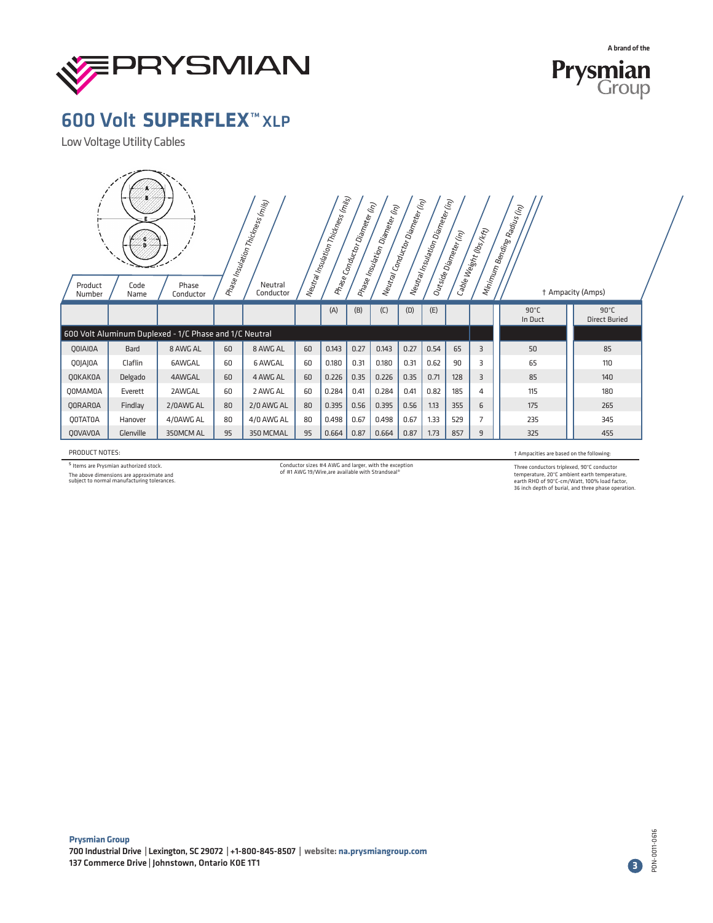



Low Voltage Utility Cables

| $\Big  \, h_{\mathcal{E}}_{\mathcal{U}} \eta_{\mathcal{E}}_{\mathcal{U}} \big  \eta_{\mathcal{E}}_{\mathcal{U}} \big _{\mathcal{E}} \big  \eta_{\mathcal{U}} \eta_{\mathcal{U}} \big _{\mathcal{E}} \Big  \eta_{\mathcal{E}} \big _{\mathcal{E}}$<br>$ $ Neutral Conductor Diameter (in )<br>  Prase Insulation Thémess (m <sub>ilis)</sub><br> <br>$\Big  h_{\alpha} h_{\alpha}/h_{\beta} h_{\beta} h_{\delta} h_{\delta} \Big _{\delta}$ Diam $_{\alpha \beta}$ (h <sub>t)</sub><br>Phase Conductor Diameter (h)<br>  Priase Insulation Diameter (in)<br> <br>(in)<br>  Ninimum Bending Radius (I<br>  <sup>Cable</sup> Weight (lbs <sub>/Kft)</sub><br> <br>Outside Diameter (in)<br>Neutral<br>Phase<br>Product<br>Code<br>† Ampacity (Amps)<br>Conductor<br>Number<br>Name<br>Conductor |             |                                                        |    |                |    |       |      |       |      |      |     |                |                           |                                        |  |
|----------------------------------------------------------------------------------------------------------------------------------------------------------------------------------------------------------------------------------------------------------------------------------------------------------------------------------------------------------------------------------------------------------------------------------------------------------------------------------------------------------------------------------------------------------------------------------------------------------------------------------------------------------------------------------------------------------------------------------------------------------------------------------------------|-------------|--------------------------------------------------------|----|----------------|----|-------|------|-------|------|------|-----|----------------|---------------------------|----------------------------------------|--|
|                                                                                                                                                                                                                                                                                                                                                                                                                                                                                                                                                                                                                                                                                                                                                                                              |             |                                                        |    |                |    | (A)   | (B)  | (C)   | (D)  | (E)  |     |                | $90^{\circ}$ C<br>In Duct | $90^{\circ}$ C<br><b>Direct Buried</b> |  |
|                                                                                                                                                                                                                                                                                                                                                                                                                                                                                                                                                                                                                                                                                                                                                                                              |             | 600 Volt Aluminum Duplexed - 1/C Phase and 1/C Neutral |    |                |    |       |      |       |      |      |     |                |                           |                                        |  |
| QOIAIOA                                                                                                                                                                                                                                                                                                                                                                                                                                                                                                                                                                                                                                                                                                                                                                                      | <b>Bard</b> | 8 AWG AL                                               | 60 | 8 AWG AL       | 60 | 0.143 | 0.27 | 0.143 | 0.27 | 0.54 | 65  | $\overline{3}$ | 50                        | 85                                     |  |
| QOJAJOA                                                                                                                                                                                                                                                                                                                                                                                                                                                                                                                                                                                                                                                                                                                                                                                      | Claflin     | <b>6AWGAL</b>                                          | 60 | <b>6 AWGAL</b> | 60 | 0.180 | 0.31 | 0.180 | 0.31 | 0.62 | 90  | 3              | 65                        | 110                                    |  |
| QOKAKOA                                                                                                                                                                                                                                                                                                                                                                                                                                                                                                                                                                                                                                                                                                                                                                                      | Delgado     | 4AWGAL                                                 | 60 | 4 AWG AL       | 60 | 0.226 | 0.35 | 0.226 | 0.35 | 0.71 | 128 | 3              | 85                        | 140                                    |  |
| <b>QOMAMOA</b>                                                                                                                                                                                                                                                                                                                                                                                                                                                                                                                                                                                                                                                                                                                                                                               | Everett     | 2AWGAL                                                 | 60 | 2 AWG AL       | 60 | 0.284 | 0.41 | 0.284 | 0.41 | 0.82 | 185 | 4              | 115                       | 180                                    |  |
| <b>QORAROA</b>                                                                                                                                                                                                                                                                                                                                                                                                                                                                                                                                                                                                                                                                                                                                                                               | Findlay     | 2/0AWG AL                                              | 80 | 2/0 AWG AL     | 80 | 0.395 | 0.56 | 0.395 | 0.56 | 1.13 | 355 | 6              | 175                       | 265                                    |  |
| <b>QOTATOA</b>                                                                                                                                                                                                                                                                                                                                                                                                                                                                                                                                                                                                                                                                                                                                                                               | Hanover     | 4/0AWG AL                                              | 80 | 4/0 AWG AL     | 80 | 0.498 | 0.67 | 0.498 | 0.67 | 1.33 | 529 | 7              | 235                       | 345                                    |  |
| <b>OOVAVOA</b>                                                                                                                                                                                                                                                                                                                                                                                                                                                                                                                                                                                                                                                                                                                                                                               | Glenville   | 350MCM AL                                              | 95 | 350 MCMAL      | 95 | 0.664 | 0.87 | 0.664 | 0.87 | 1.73 | 857 | 9              | 325                       | 455                                    |  |

PRODUCT NOTES:

s Items are Prysmian authorized stock.

The above dimensions are approximate and subject to normal manufacturing tolerances.

Conductor sizes #4 AWG and larger, with the exception of #1 AWG 19/Wire,are available with Strandseal®

#### † Ampacities are based on the following:

Three conductors triplexed, 90°C conductor<br>temperature, 20°C ambient earth temperature,<br>earth RHO of 90°C-cm/Watt, 100% load factor,<br>36 inch depth of burial, and three phase operation.

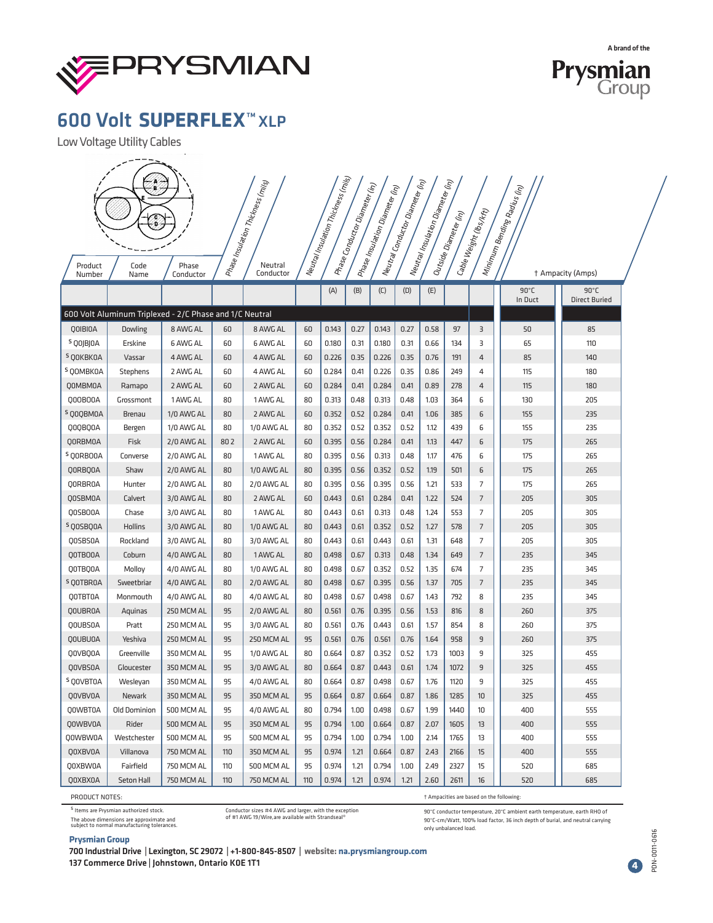



Low Voltage Utility Cables

 $-$ 

| Product              | Ç<br>Code                                               | Neutral Insulation Thickness (mi <sub>s)</sub><br>Neufal Conductor Diameter (h <sub>1)</sub><br>Neutral Insulation Diameter (h <sub>1)</sub><br>.<br>Phase Insulation Thistness (mis)<br>$\begin{array}{l} \rho_{H\bar q g g} \cr \end{array} c_{\partial H\bar d \nu \xi \xi \rho} \nonumber \\ \phantom{\ddot d \xi_{\bar d g} \delta_{\bar d g g} \delta_{\bar d g} \delta_{\bar d g}} \delta_{\bar d g} \delta_{\bar e g} \delta_{\bar f \eta} \end{array}$<br>Phase Insulation Diameter (h <sub>t)</sub><br>(m)<br>  Minimum Bending Radius $\beta$<br>$4$ Cable Weight (lbs <sub>/Kft)</sub><br>$4$ Outside Diameter (i <sub>n)</sub><br>Neutral |     |                   |     |       |      |       |      |      |      |                |                |  |                                     |  |
|----------------------|---------------------------------------------------------|--------------------------------------------------------------------------------------------------------------------------------------------------------------------------------------------------------------------------------------------------------------------------------------------------------------------------------------------------------------------------------------------------------------------------------------------------------------------------------------------------------------------------------------------------------------------------------------------------------------------------------------------------------|-----|-------------------|-----|-------|------|-------|------|------|------|----------------|----------------|--|-------------------------------------|--|
| Number               | Name                                                    | Conductor                                                                                                                                                                                                                                                                                                                                                                                                                                                                                                                                                                                                                                              |     | Conductor         |     | (A)   | (B)  | (C)   | (D)  | (E)  |      |                | $90^{\circ}$ C |  | † Ampacity (Amps)<br>$90^{\circ}$ C |  |
|                      |                                                         |                                                                                                                                                                                                                                                                                                                                                                                                                                                                                                                                                                                                                                                        |     |                   |     |       |      |       |      |      |      |                | In Duct        |  | <b>Direct Buried</b>                |  |
|                      | 600 Volt Aluminum Triplexed - 2/C Phase and 1/C Neutral |                                                                                                                                                                                                                                                                                                                                                                                                                                                                                                                                                                                                                                                        |     |                   |     |       |      |       |      |      |      |                |                |  |                                     |  |
| QOIBIOA              | Dowling                                                 | 8 AWG AL                                                                                                                                                                                                                                                                                                                                                                                                                                                                                                                                                                                                                                               | 60  | 8 AWG AL          | 60  | 0.143 | 0.27 | 0.143 | 0.27 | 0.58 | 97   | 3              | 50             |  | 85                                  |  |
| <sup>5</sup> QOJBJOA | Erskine                                                 | 6 AWG AL                                                                                                                                                                                                                                                                                                                                                                                                                                                                                                                                                                                                                                               | 60  | 6 AWG AL          | 60  | 0.180 | 0.31 | 0.180 | 0.31 | 0.66 | 134  | 3              | 65             |  | 110                                 |  |
| <sup>S</sup> QOKBKOA | Vassar                                                  | 4 AWG AL                                                                                                                                                                                                                                                                                                                                                                                                                                                                                                                                                                                                                                               | 60  | 4 AWG AL          | 60  | 0.226 | 0.35 | 0.226 | 0.35 | 0.76 | 191  | 4              | 85             |  | 140                                 |  |
| <sup>S</sup> QOMBK0A | <b>Stephens</b>                                         | 2 AWG AL                                                                                                                                                                                                                                                                                                                                                                                                                                                                                                                                                                                                                                               | 60  | 4 AWG AL          | 60  | 0.284 | 0.41 | 0.226 | 0.35 | 0.86 | 249  | 4              | 115            |  | 180                                 |  |
| QOMBMOA              | Ramapo                                                  | 2 AWG AL                                                                                                                                                                                                                                                                                                                                                                                                                                                                                                                                                                                                                                               | 60  | 2 AWG AL          | 60  | 0.284 | 0.41 | 0.284 | 0.41 | 0.89 | 278  | 4              | 115            |  | 180                                 |  |
| Q00B00A              | Grossmont                                               | 1 AWG AL                                                                                                                                                                                                                                                                                                                                                                                                                                                                                                                                                                                                                                               | 80  | 1 AWG AL          | 80  | 0.313 | 0.48 | 0.313 | 0.48 | 1.03 | 364  | 6              | 130            |  | 205                                 |  |
| <sup>S</sup> QOQBMOA | <b>Brenau</b>                                           | 1/0 AWG AL                                                                                                                                                                                                                                                                                                                                                                                                                                                                                                                                                                                                                                             | 80  | 2 AWG AL          | 60  | 0.352 | 0.52 | 0.284 | 0.41 | 1.06 | 385  | 6              | 155            |  | 235                                 |  |
| Q0QBQ0A              | Bergen                                                  | 1/0 AWG AL                                                                                                                                                                                                                                                                                                                                                                                                                                                                                                                                                                                                                                             | 80  | 1/0 AWG AL        | 80  | 0.352 | 0.52 | 0.352 | 0.52 | 1.12 | 439  | 6              | 155            |  | 235                                 |  |
| QORBMOA              | Fisk                                                    | 2/0 AWG AL                                                                                                                                                                                                                                                                                                                                                                                                                                                                                                                                                                                                                                             | 802 | 2 AWG AL          | 60  | 0.395 | 0.56 | 0.284 | 0.41 | 1.13 | 447  | 6              | 175            |  | 265                                 |  |
| <sup>S</sup> QORBOOA | Converse                                                | 2/0 AWG AL                                                                                                                                                                                                                                                                                                                                                                                                                                                                                                                                                                                                                                             | 80  | 1 AWG AL          | 80  | 0.395 | 0.56 | 0.313 | 0.48 | 1.17 | 476  | 6              | 175            |  | 265                                 |  |
| QORBQOA              | Shaw                                                    | 2/0 AWG AL                                                                                                                                                                                                                                                                                                                                                                                                                                                                                                                                                                                                                                             | 80  | 1/0 AWG AL        | 80  | 0.395 | 0.56 | 0.352 | 0.52 | 1.19 | 501  | 6              | 175            |  | 265                                 |  |
| QORBROA              | Hunter                                                  | 2/0 AWG AL                                                                                                                                                                                                                                                                                                                                                                                                                                                                                                                                                                                                                                             | 80  | 2/0 AWG AL        | 80  | 0.395 | 0.56 | 0.395 | 0.56 | 1.21 | 533  | 7              | 175            |  | 265                                 |  |
| QOSBMOA              | Calvert                                                 | 3/0 AWG AL                                                                                                                                                                                                                                                                                                                                                                                                                                                                                                                                                                                                                                             | 80  | 2 AWG AL          | 60  | 0.443 | 0.61 | 0.284 | 0.41 | 1.22 | 524  | $\overline{7}$ | 205            |  | 305                                 |  |
| Q0SB00A              | Chase                                                   | 3/0 AWG AL                                                                                                                                                                                                                                                                                                                                                                                                                                                                                                                                                                                                                                             | 80  | 1 AWG AL          | 80  | 0.443 | 0.61 | 0.313 | 0.48 | 1.24 | 553  | 7              | 205            |  | 305                                 |  |
| <sup>S</sup> QOSBQOA | Hollins                                                 | 3/0 AWG AL                                                                                                                                                                                                                                                                                                                                                                                                                                                                                                                                                                                                                                             | 80  | 1/0 AWG AL        | 80  | 0.443 | 0.61 | 0.352 | 0.52 | 1.27 | 578  | $\overline{7}$ | 205            |  | 305                                 |  |
| Q0SBS0A              | Rockland                                                | 3/0 AWG AL                                                                                                                                                                                                                                                                                                                                                                                                                                                                                                                                                                                                                                             | 80  | 3/0 AWG AL        | 80  | 0.443 | 0.61 | 0.443 | 0.61 | 1.31 | 648  | 7              | 205            |  | 305                                 |  |
| Q0TB00A              | Coburn                                                  | 4/0 AWG AL                                                                                                                                                                                                                                                                                                                                                                                                                                                                                                                                                                                                                                             | 80  | 1 AWG AL          | 80  | 0.498 | 0.67 | 0.313 | 0.48 | 1.34 | 649  | 7              | 235            |  | 345                                 |  |
| QOTBQOA              | Molloy                                                  | 4/0 AWG AL                                                                                                                                                                                                                                                                                                                                                                                                                                                                                                                                                                                                                                             | 80  | 1/0 AWG AL        | 80  | 0.498 | 0.67 | 0.352 | 0.52 | 1.35 | 674  | 7              | 235            |  | 345                                 |  |
| <sup>S</sup> QOTBROA | Sweetbriar                                              | 4/0 AWG AL                                                                                                                                                                                                                                                                                                                                                                                                                                                                                                                                                                                                                                             | 80  | 2/0 AWG AL        | 80  | 0.498 | 0.67 | 0.395 | 0.56 | 1.37 | 705  | 7              | 235            |  | 345                                 |  |
| QOTBTOA              | Monmouth                                                | 4/0 AWG AL                                                                                                                                                                                                                                                                                                                                                                                                                                                                                                                                                                                                                                             | 80  | 4/0 AWG AL        | 80  | 0.498 | 0.67 | 0.498 | 0.67 | 1.43 | 792  | 8              | 235            |  | 345                                 |  |
| QOUBROA              | Aquinas                                                 | 250 MCM AL                                                                                                                                                                                                                                                                                                                                                                                                                                                                                                                                                                                                                                             | 95  | 2/0 AWG AL        | 80  | 0.561 | 0.76 | 0.395 | 0.56 | 1.53 | 816  | 8              | 260            |  | 375                                 |  |
| QOUBSOA              | Pratt                                                   | 250 MCM AL                                                                                                                                                                                                                                                                                                                                                                                                                                                                                                                                                                                                                                             | 95  | 3/0 AWG AL        | 80  | 0.561 | 0.76 | 0.443 | 0.61 | 1.57 | 854  | 8              | 260            |  | 375                                 |  |
| QOUBUOA              | Yeshiva                                                 | 250 MCM AL                                                                                                                                                                                                                                                                                                                                                                                                                                                                                                                                                                                                                                             | 95  | 250 MCM AL        | 95  | 0.561 | 0.76 | 0.561 | 0.76 | 1.64 | 958  | 9              | 260            |  | 375                                 |  |
| QOVBQOA              | Greenville                                              | 350 MCM AL                                                                                                                                                                                                                                                                                                                                                                                                                                                                                                                                                                                                                                             | 95  | 1/0 AWG AL        | 80  | 0.664 | 0.87 | 0.352 | 0.52 | 1.73 | 1003 | 9              | 325            |  | 455                                 |  |
| QOVBSOA              | Gloucester                                              | 350 MCM AL                                                                                                                                                                                                                                                                                                                                                                                                                                                                                                                                                                                                                                             | 95  | 3/0 AWG AL        | 80  | 0.664 | 0.87 | 0.443 | 0.61 | 1.74 | 1072 | 9              | 325            |  | 455                                 |  |
| <sup>S</sup> QOVBTOA | Wesleyan                                                | 350 MCM AL                                                                                                                                                                                                                                                                                                                                                                                                                                                                                                                                                                                                                                             | 95  | 4/0 AWG AL        | 80  | 0.664 | 0.87 | 0.498 | 0.67 | 1.76 | 1120 | 9              | 325            |  | 455                                 |  |
| QOVBVOA              | Newark                                                  | 350 MCM AL                                                                                                                                                                                                                                                                                                                                                                                                                                                                                                                                                                                                                                             | 95  | 350 MCM AL        | 95  | 0.664 | 0.87 | 0.664 | 0.87 | 1.86 | 1285 | 10             | 325            |  | 455                                 |  |
| Q0WBT0A              | <b>Old Dominion</b>                                     | 500 MCM AL                                                                                                                                                                                                                                                                                                                                                                                                                                                                                                                                                                                                                                             | 95  | 4/0 AWG AL        | 80  | 0.794 | 1.00 | 0.498 | 0.67 | 1.99 | 1440 | 10             | 400            |  | 555                                 |  |
| QOWBVOA              | Rider                                                   | 500 MCM AL                                                                                                                                                                                                                                                                                                                                                                                                                                                                                                                                                                                                                                             | 95  | 350 MCM AL        | 95  | 0.794 | 1.00 | 0.664 | 0.87 | 2.07 | 1605 | 13             | 400            |  | 555                                 |  |
| Q0WBW0A              | Westchester                                             | 500 MCM AL                                                                                                                                                                                                                                                                                                                                                                                                                                                                                                                                                                                                                                             | 95  | 500 MCM AL        | 95  | 0.794 | 1.00 | 0.794 | 1.00 | 2.14 | 1765 | 13             | 400            |  | 555                                 |  |
| QOXBVOA              | Villanova                                               | 750 MCM AL                                                                                                                                                                                                                                                                                                                                                                                                                                                                                                                                                                                                                                             | 110 | 350 MCM AL        | 95  | 0.974 | 1.21 | 0.664 | 0.87 | 2.43 | 2166 | 15             | 400            |  | 555                                 |  |
| Q0XBW0A              | Fairfield                                               | 750 MCM AL                                                                                                                                                                                                                                                                                                                                                                                                                                                                                                                                                                                                                                             | 110 | 500 MCM AL        | 95  | 0.974 | 1.21 | 0.794 | 1.00 | 2.49 | 2327 | 15             | 520            |  | 685                                 |  |
| QOXBXOA              | Seton Hall                                              | 750 MCM AL                                                                                                                                                                                                                                                                                                                                                                                                                                                                                                                                                                                                                                             | 110 | <b>750 MCM AL</b> | 110 | 0.974 | 1.21 | 0.974 | 1.21 | 2.60 | 2611 | 16             | 520            |  | 685                                 |  |

PRODUCT NOTES:

s<br>Items are Prysmian authorized stock. The above dimensions are approximate and subject to normal manufacturing tolerances.

**Prysmian Group**

Conductor sizes #4 AWG and larger, with the exception of #1 AWG 19/Wire,are available with Strandseal®

† Ampacities are based on the following:

90°C conductor temperature, 20°C ambient earth temperature, earth RHO of 90°C-cm/Watt, 100% load factor, 36 inch depth of burial, and neutral carrying only unbalanced load.

700 Industrial Drive | Lexington, SC 29072 | +1-800-845-8507 | **website: na.prysmiangroup.com** 137 Commerce Drive | Johnstown, Ontario K0E 1T1

PDN-0011-0616 PDN-0011-0616 **4**